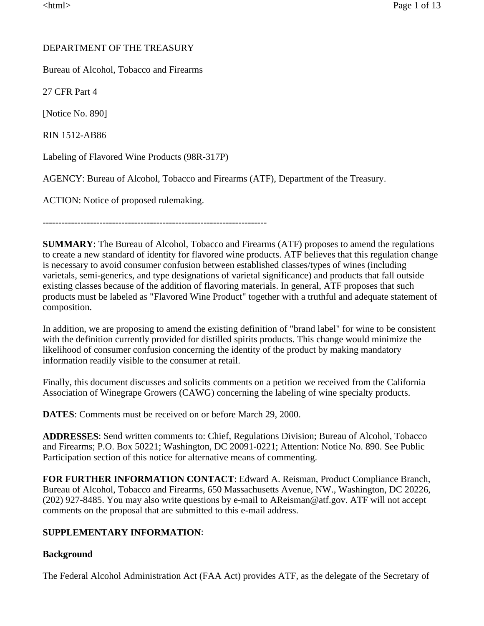# DEPARTMENT OF THE TREASURY

Bureau of Alcohol, Tobacco and Firearms

27 CFR Part 4

[Notice No. 890]

RIN 1512-AB86

Labeling of Flavored Wine Products (98R-317P)

AGENCY: Bureau of Alcohol, Tobacco and Firearms (ATF), Department of the Treasury.

ACTION: Notice of proposed rulemaking.

-----------------------------------------------------------------------

**SUMMARY**: The Bureau of Alcohol, Tobacco and Firearms (ATF) proposes to amend the regulations to create a new standard of identity for flavored wine products. ATF believes that this regulation change is necessary to avoid consumer confusion between established classes/types of wines (including varietals, semi-generics, and type designations of varietal significance) and products that fall outside existing classes because of the addition of flavoring materials. In general, ATF proposes that such products must be labeled as "Flavored Wine Product" together with a truthful and adequate statement of composition.

In addition, we are proposing to amend the existing definition of "brand label" for wine to be consistent with the definition currently provided for distilled spirits products. This change would minimize the likelihood of consumer confusion concerning the identity of the product by making mandatory information readily visible to the consumer at retail.

Finally, this document discusses and solicits comments on a petition we received from the California Association of Winegrape Growers (CAWG) concerning the labeling of wine specialty products.

**DATES**: Comments must be received on or before March 29, 2000.

**ADDRESSES**: Send written comments to: Chief, Regulations Division; Bureau of Alcohol, Tobacco and Firearms; P.O. Box 50221; Washington, DC 20091-0221; Attention: Notice No. 890. See Public Participation section of this notice for alternative means of commenting.

**FOR FURTHER INFORMATION CONTACT**: Edward A. Reisman, Product Compliance Branch, Bureau of Alcohol, Tobacco and Firearms, 650 Massachusetts Avenue, NW., Washington, DC 20226, (202) 927-8485. You may also write questions by e-mail to AReisman@atf.gov. ATF will not accept comments on the proposal that are submitted to this e-mail address.

# **SUPPLEMENTARY INFORMATION**:

### **Background**

The Federal Alcohol Administration Act (FAA Act) provides ATF, as the delegate of the Secretary of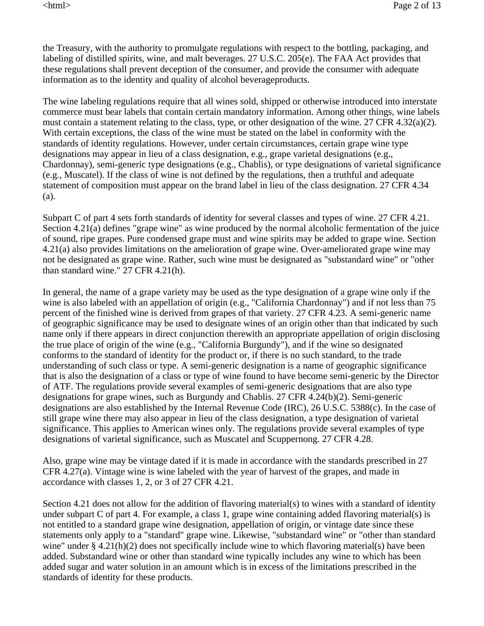the Treasury, with the authority to promulgate regulations with respect to the bottling, packaging, and labeling of distilled spirits, wine, and malt beverages. 27 U.S.C. 205(e). The FAA Act provides that these regulations shall prevent deception of the consumer, and provide the consumer with adequate information as to the identity and quality of alcohol beverageproducts.

The wine labeling regulations require that all wines sold, shipped or otherwise introduced into interstate commerce must bear labels that contain certain mandatory information. Among other things, wine labels must contain a statement relating to the class, type, or other designation of the wine. 27 CFR 4.32(a)(2). With certain exceptions, the class of the wine must be stated on the label in conformity with the standards of identity regulations. However, under certain circumstances, certain grape wine type designations may appear in lieu of a class designation, e.g., grape varietal designations (e.g., Chardonnay), semi-generic type designations (e.g., Chablis), or type designations of varietal significance (e.g., Muscatel). If the class of wine is not defined by the regulations, then a truthful and adequate statement of composition must appear on the brand label in lieu of the class designation. 27 CFR 4.34 (a).

Subpart C of part 4 sets forth standards of identity for several classes and types of wine. 27 CFR 4.21. Section 4.21(a) defines "grape wine" as wine produced by the normal alcoholic fermentation of the juice of sound, ripe grapes. Pure condensed grape must and wine spirits may be added to grape wine. Section 4.21(a) also provides limitations on the amelioration of grape wine. Over-ameliorated grape wine may not be designated as grape wine. Rather, such wine must be designated as "substandard wine" or "other than standard wine." 27 CFR 4.21(h).

In general, the name of a grape variety may be used as the type designation of a grape wine only if the wine is also labeled with an appellation of origin (e.g., "California Chardonnay") and if not less than 75 percent of the finished wine is derived from grapes of that variety. 27 CFR 4.23. A semi-generic name of geographic significance may be used to designate wines of an origin other than that indicated by such name only if there appears in direct conjunction therewith an appropriate appellation of origin disclosing the true place of origin of the wine (e.g., "California Burgundy"), and if the wine so designated conforms to the standard of identity for the product or, if there is no such standard, to the trade understanding of such class or type. A semi-generic designation is a name of geographic significance that is also the designation of a class or type of wine found to have become semi-generic by the Director of ATF. The regulations provide several examples of semi-generic designations that are also type designations for grape wines, such as Burgundy and Chablis. 27 CFR 4.24(b)(2). Semi-generic designations are also established by the Internal Revenue Code (IRC), 26 U.S.C. 5388(c). In the case of still grape wine there may also appear in lieu of the class designation, a type designation of varietal significance. This applies to American wines only. The regulations provide several examples of type designations of varietal significance, such as Muscatel and Scuppernong. 27 CFR 4.28.

Also, grape wine may be vintage dated if it is made in accordance with the standards prescribed in 27 CFR 4.27(a). Vintage wine is wine labeled with the year of harvest of the grapes, and made in accordance with classes 1, 2, or 3 of 27 CFR 4.21.

Section 4.21 does not allow for the addition of flavoring material(s) to wines with a standard of identity under subpart C of part 4. For example, a class 1, grape wine containing added flavoring material(s) is not entitled to a standard grape wine designation, appellation of origin, or vintage date since these statements only apply to a "standard" grape wine. Likewise, "substandard wine" or "other than standard wine" under § 4.21(h)(2) does not specifically include wine to which flavoring material(s) have been added. Substandard wine or other than standard wine typically includes any wine to which has been added sugar and water solution in an amount which is in excess of the limitations prescribed in the standards of identity for these products.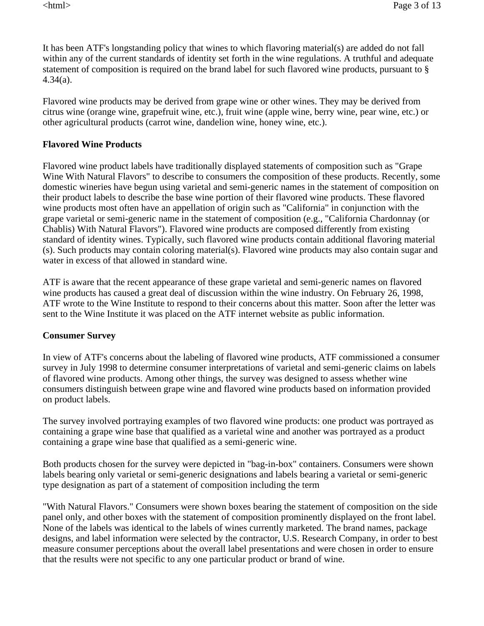It has been ATF's longstanding policy that wines to which flavoring material(s) are added do not fall within any of the current standards of identity set forth in the wine regulations. A truthful and adequate statement of composition is required on the brand label for such flavored wine products, pursuant to § 4.34(a).

Flavored wine products may be derived from grape wine or other wines. They may be derived from citrus wine (orange wine, grapefruit wine, etc.), fruit wine (apple wine, berry wine, pear wine, etc.) or other agricultural products (carrot wine, dandelion wine, honey wine, etc.).

### **Flavored Wine Products**

Flavored wine product labels have traditionally displayed statements of composition such as "Grape Wine With Natural Flavors" to describe to consumers the composition of these products. Recently, some domestic wineries have begun using varietal and semi-generic names in the statement of composition on their product labels to describe the base wine portion of their flavored wine products. These flavored wine products most often have an appellation of origin such as "California" in conjunction with the grape varietal or semi-generic name in the statement of composition (e.g., "California Chardonnay (or Chablis) With Natural Flavors"). Flavored wine products are composed differently from existing standard of identity wines. Typically, such flavored wine products contain additional flavoring material (s). Such products may contain coloring material(s). Flavored wine products may also contain sugar and water in excess of that allowed in standard wine.

ATF is aware that the recent appearance of these grape varietal and semi-generic names on flavored wine products has caused a great deal of discussion within the wine industry. On February 26, 1998, ATF wrote to the Wine Institute to respond to their concerns about this matter. Soon after the letter was sent to the Wine Institute it was placed on the ATF internet website as public information.

#### **Consumer Survey**

In view of ATF's concerns about the labeling of flavored wine products, ATF commissioned a consumer survey in July 1998 to determine consumer interpretations of varietal and semi-generic claims on labels of flavored wine products. Among other things, the survey was designed to assess whether wine consumers distinguish between grape wine and flavored wine products based on information provided on product labels.

The survey involved portraying examples of two flavored wine products: one product was portrayed as containing a grape wine base that qualified as a varietal wine and another was portrayed as a product containing a grape wine base that qualified as a semi-generic wine.

Both products chosen for the survey were depicted in "bag-in-box" containers. Consumers were shown labels bearing only varietal or semi-generic designations and labels bearing a varietal or semi-generic type designation as part of a statement of composition including the term

"With Natural Flavors." Consumers were shown boxes bearing the statement of composition on the side panel only, and other boxes with the statement of composition prominently displayed on the front label. None of the labels was identical to the labels of wines currently marketed. The brand names, package designs, and label information were selected by the contractor, U.S. Research Company, in order to best measure consumer perceptions about the overall label presentations and were chosen in order to ensure that the results were not specific to any one particular product or brand of wine.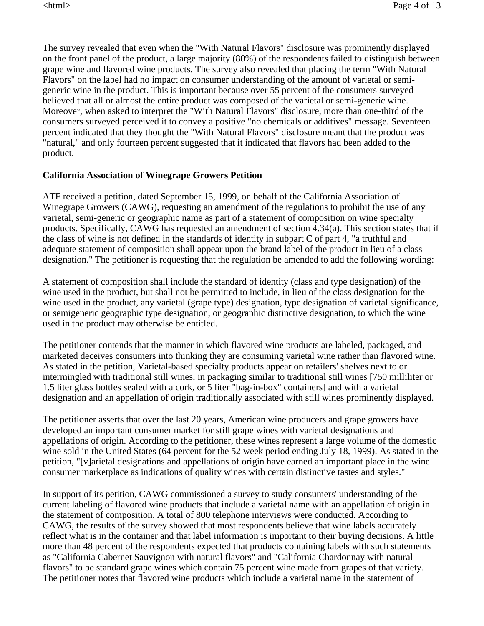The survey revealed that even when the "With Natural Flavors" disclosure was prominently displayed on the front panel of the product, a large majority (80%) of the respondents failed to distinguish between grape wine and flavored wine products. The survey also revealed that placing the term "With Natural Flavors" on the label had no impact on consumer understanding of the amount of varietal or semigeneric wine in the product. This is important because over 55 percent of the consumers surveyed believed that all or almost the entire product was composed of the varietal or semi-generic wine. Moreover, when asked to interpret the "With Natural Flavors" disclosure, more than one-third of the consumers surveyed perceived it to convey a positive "no chemicals or additives" message. Seventeen percent indicated that they thought the "With Natural Flavors" disclosure meant that the product was "natural," and only fourteen percent suggested that it indicated that flavors had been added to the product.

### **California Association of Winegrape Growers Petition**

ATF received a petition, dated September 15, 1999, on behalf of the California Association of Winegrape Growers (CAWG), requesting an amendment of the regulations to prohibit the use of any varietal, semi-generic or geographic name as part of a statement of composition on wine specialty products. Specifically, CAWG has requested an amendment of section 4.34(a). This section states that if the class of wine is not defined in the standards of identity in subpart C of part 4, "a truthful and adequate statement of composition shall appear upon the brand label of the product in lieu of a class designation." The petitioner is requesting that the regulation be amended to add the following wording:

A statement of composition shall include the standard of identity (class and type designation) of the wine used in the product, but shall not be permitted to include, in lieu of the class designation for the wine used in the product, any varietal (grape type) designation, type designation of varietal significance, or semigeneric geographic type designation, or geographic distinctive designation, to which the wine used in the product may otherwise be entitled.

The petitioner contends that the manner in which flavored wine products are labeled, packaged, and marketed deceives consumers into thinking they are consuming varietal wine rather than flavored wine. As stated in the petition, Varietal-based specialty products appear on retailers' shelves next to or intermingled with traditional still wines, in packaging similar to traditional still wines [750 milliliter or 1.5 liter glass bottles sealed with a cork, or 5 liter "bag-in-box" containers] and with a varietal designation and an appellation of origin traditionally associated with still wines prominently displayed.

The petitioner asserts that over the last 20 years, American wine producers and grape growers have developed an important consumer market for still grape wines with varietal designations and appellations of origin. According to the petitioner, these wines represent a large volume of the domestic wine sold in the United States (64 percent for the 52 week period ending July 18, 1999). As stated in the petition, "[v]arietal designations and appellations of origin have earned an important place in the wine consumer marketplace as indications of quality wines with certain distinctive tastes and styles."

In support of its petition, CAWG commissioned a survey to study consumers' understanding of the current labeling of flavored wine products that include a varietal name with an appellation of origin in the statement of composition. A total of 800 telephone interviews were conducted. According to CAWG, the results of the survey showed that most respondents believe that wine labels accurately reflect what is in the container and that label information is important to their buying decisions. A little more than 48 percent of the respondents expected that products containing labels with such statements as "California Cabernet Sauvignon with natural flavors" and "California Chardonnay with natural flavors" to be standard grape wines which contain 75 percent wine made from grapes of that variety. The petitioner notes that flavored wine products which include a varietal name in the statement of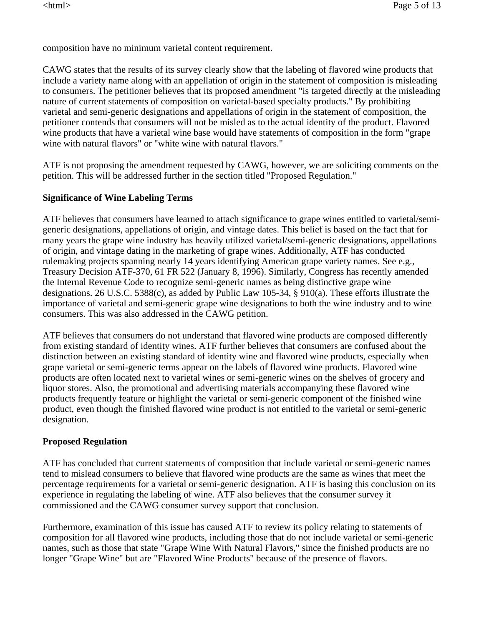composition have no minimum varietal content requirement.

CAWG states that the results of its survey clearly show that the labeling of flavored wine products that include a variety name along with an appellation of origin in the statement of composition is misleading to consumers. The petitioner believes that its proposed amendment "is targeted directly at the misleading nature of current statements of composition on varietal-based specialty products." By prohibiting varietal and semi-generic designations and appellations of origin in the statement of composition, the petitioner contends that consumers will not be misled as to the actual identity of the product. Flavored wine products that have a varietal wine base would have statements of composition in the form "grape wine with natural flavors" or "white wine with natural flavors."

ATF is not proposing the amendment requested by CAWG, however, we are soliciting comments on the petition. This will be addressed further in the section titled "Proposed Regulation."

### **Significance of Wine Labeling Terms**

ATF believes that consumers have learned to attach significance to grape wines entitled to varietal/semigeneric designations, appellations of origin, and vintage dates. This belief is based on the fact that for many years the grape wine industry has heavily utilized varietal/semi-generic designations, appellations of origin, and vintage dating in the marketing of grape wines. Additionally, ATF has conducted rulemaking projects spanning nearly 14 years identifying American grape variety names. See e.g., Treasury Decision ATF-370, 61 FR 522 (January 8, 1996). Similarly, Congress has recently amended the Internal Revenue Code to recognize semi-generic names as being distinctive grape wine designations. 26 U.S.C. 5388(c), as added by Public Law 105-34, § 910(a). These efforts illustrate the importance of varietal and semi-generic grape wine designations to both the wine industry and to wine consumers. This was also addressed in the CAWG petition.

ATF believes that consumers do not understand that flavored wine products are composed differently from existing standard of identity wines. ATF further believes that consumers are confused about the distinction between an existing standard of identity wine and flavored wine products, especially when grape varietal or semi-generic terms appear on the labels of flavored wine products. Flavored wine products are often located next to varietal wines or semi-generic wines on the shelves of grocery and liquor stores. Also, the promotional and advertising materials accompanying these flavored wine products frequently feature or highlight the varietal or semi-generic component of the finished wine product, even though the finished flavored wine product is not entitled to the varietal or semi-generic designation.

### **Proposed Regulation**

ATF has concluded that current statements of composition that include varietal or semi-generic names tend to mislead consumers to believe that flavored wine products are the same as wines that meet the percentage requirements for a varietal or semi-generic designation. ATF is basing this conclusion on its experience in regulating the labeling of wine. ATF also believes that the consumer survey it commissioned and the CAWG consumer survey support that conclusion.

Furthermore, examination of this issue has caused ATF to review its policy relating to statements of composition for all flavored wine products, including those that do not include varietal or semi-generic names, such as those that state "Grape Wine With Natural Flavors," since the finished products are no longer "Grape Wine" but are "Flavored Wine Products" because of the presence of flavors.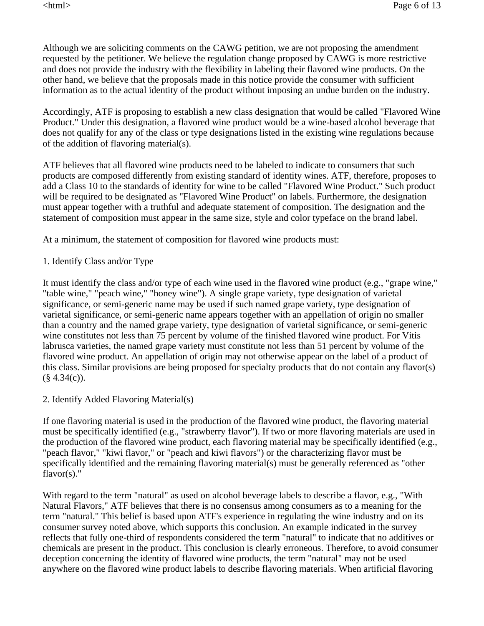Although we are soliciting comments on the CAWG petition, we are not proposing the amendment requested by the petitioner. We believe the regulation change proposed by CAWG is more restrictive and does not provide the industry with the flexibility in labeling their flavored wine products. On the other hand, we believe that the proposals made in this notice provide the consumer with sufficient information as to the actual identity of the product without imposing an undue burden on the industry.

Accordingly, ATF is proposing to establish a new class designation that would be called "Flavored Wine Product." Under this designation, a flavored wine product would be a wine-based alcohol beverage that does not qualify for any of the class or type designations listed in the existing wine regulations because of the addition of flavoring material(s).

ATF believes that all flavored wine products need to be labeled to indicate to consumers that such products are composed differently from existing standard of identity wines. ATF, therefore, proposes to add a Class 10 to the standards of identity for wine to be called "Flavored Wine Product." Such product will be required to be designated as "Flavored Wine Product" on labels. Furthermore, the designation must appear together with a truthful and adequate statement of composition. The designation and the statement of composition must appear in the same size, style and color typeface on the brand label.

At a minimum, the statement of composition for flavored wine products must:

1. Identify Class and/or Type

It must identify the class and/or type of each wine used in the flavored wine product (e.g., "grape wine," "table wine," "peach wine," "honey wine"). A single grape variety, type designation of varietal significance, or semi-generic name may be used if such named grape variety, type designation of varietal significance, or semi-generic name appears together with an appellation of origin no smaller than a country and the named grape variety, type designation of varietal significance, or semi-generic wine constitutes not less than 75 percent by volume of the finished flavored wine product. For Vitis labrusca varieties, the named grape variety must constitute not less than 51 percent by volume of the flavored wine product. An appellation of origin may not otherwise appear on the label of a product of this class. Similar provisions are being proposed for specialty products that do not contain any flavor(s)  $(\S$  4.34(c)).

2. Identify Added Flavoring Material(s)

If one flavoring material is used in the production of the flavored wine product, the flavoring material must be specifically identified (e.g., "strawberry flavor"). If two or more flavoring materials are used in the production of the flavored wine product, each flavoring material may be specifically identified (e.g., "peach flavor," "kiwi flavor," or "peach and kiwi flavors") or the characterizing flavor must be specifically identified and the remaining flavoring material(s) must be generally referenced as "other flavor(s)."

With regard to the term "natural" as used on alcohol beverage labels to describe a flavor, e.g., "With Natural Flavors," ATF believes that there is no consensus among consumers as to a meaning for the term "natural." This belief is based upon ATF's experience in regulating the wine industry and on its consumer survey noted above, which supports this conclusion. An example indicated in the survey reflects that fully one-third of respondents considered the term "natural" to indicate that no additives or chemicals are present in the product. This conclusion is clearly erroneous. Therefore, to avoid consumer deception concerning the identity of flavored wine products, the term "natural" may not be used anywhere on the flavored wine product labels to describe flavoring materials. When artificial flavoring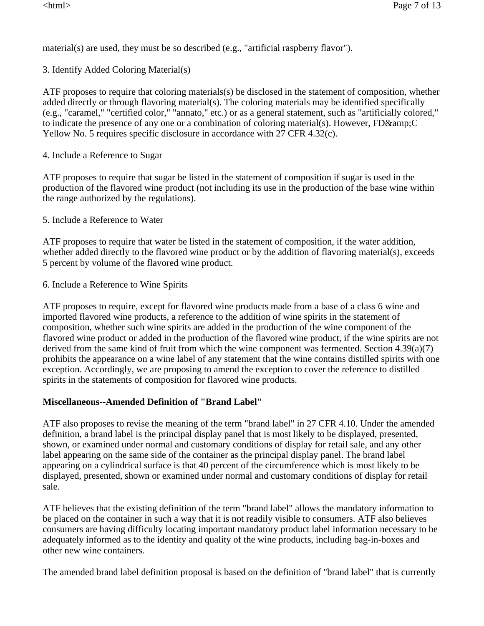material(s) are used, they must be so described (e.g., "artificial raspberry flavor").

3. Identify Added Coloring Material(s)

ATF proposes to require that coloring materials(s) be disclosed in the statement of composition, whether added directly or through flavoring material(s). The coloring materials may be identified specifically (e.g., "caramel," "certified color," "annato," etc.) or as a general statement, such as "artificially colored," to indicate the presence of any one or a combination of coloring material(s). However,  $FD\&CD$ Yellow No. 5 requires specific disclosure in accordance with 27 CFR 4.32(c).

4. Include a Reference to Sugar

ATF proposes to require that sugar be listed in the statement of composition if sugar is used in the production of the flavored wine product (not including its use in the production of the base wine within the range authorized by the regulations).

5. Include a Reference to Water

ATF proposes to require that water be listed in the statement of composition, if the water addition, whether added directly to the flavored wine product or by the addition of flavoring material(s), exceeds 5 percent by volume of the flavored wine product.

6. Include a Reference to Wine Spirits

ATF proposes to require, except for flavored wine products made from a base of a class 6 wine and imported flavored wine products, a reference to the addition of wine spirits in the statement of composition, whether such wine spirits are added in the production of the wine component of the flavored wine product or added in the production of the flavored wine product, if the wine spirits are not derived from the same kind of fruit from which the wine component was fermented. Section 4.39(a)(7) prohibits the appearance on a wine label of any statement that the wine contains distilled spirits with one exception. Accordingly, we are proposing to amend the exception to cover the reference to distilled spirits in the statements of composition for flavored wine products.

# **Miscellaneous--Amended Definition of "Brand Label"**

ATF also proposes to revise the meaning of the term "brand label" in 27 CFR 4.10. Under the amended definition, a brand label is the principal display panel that is most likely to be displayed, presented, shown, or examined under normal and customary conditions of display for retail sale, and any other label appearing on the same side of the container as the principal display panel. The brand label appearing on a cylindrical surface is that 40 percent of the circumference which is most likely to be displayed, presented, shown or examined under normal and customary conditions of display for retail sale.

ATF believes that the existing definition of the term "brand label" allows the mandatory information to be placed on the container in such a way that it is not readily visible to consumers. ATF also believes consumers are having difficulty locating important mandatory product label information necessary to be adequately informed as to the identity and quality of the wine products, including bag-in-boxes and other new wine containers.

The amended brand label definition proposal is based on the definition of "brand label" that is currently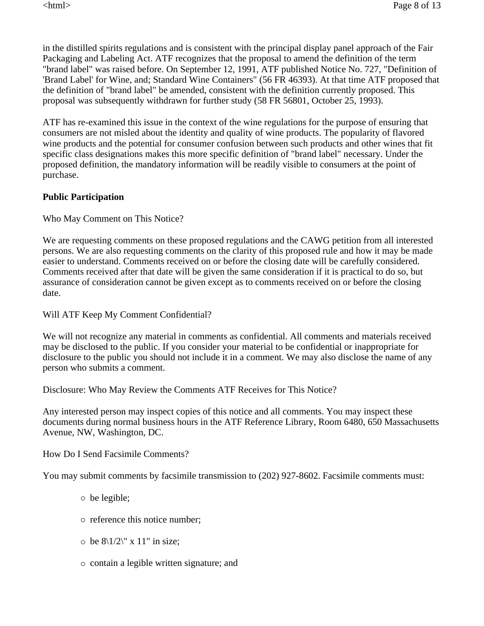in the distilled spirits regulations and is consistent with the principal display panel approach of the Fair Packaging and Labeling Act. ATF recognizes that the proposal to amend the definition of the term "brand label" was raised before. On September 12, 1991, ATF published Notice No. 727, "Definition of 'Brand Label' for Wine, and; Standard Wine Containers" (56 FR 46393). At that time ATF proposed that the definition of "brand label" be amended, consistent with the definition currently proposed. This proposal was subsequently withdrawn for further study (58 FR 56801, October 25, 1993).

ATF has re-examined this issue in the context of the wine regulations for the purpose of ensuring that consumers are not misled about the identity and quality of wine products. The popularity of flavored wine products and the potential for consumer confusion between such products and other wines that fit specific class designations makes this more specific definition of "brand label" necessary. Under the proposed definition, the mandatory information will be readily visible to consumers at the point of purchase.

### **Public Participation**

Who May Comment on This Notice?

We are requesting comments on these proposed regulations and the CAWG petition from all interested persons. We are also requesting comments on the clarity of this proposed rule and how it may be made easier to understand. Comments received on or before the closing date will be carefully considered. Comments received after that date will be given the same consideration if it is practical to do so, but assurance of consideration cannot be given except as to comments received on or before the closing date.

Will ATF Keep My Comment Confidential?

We will not recognize any material in comments as confidential. All comments and materials received may be disclosed to the public. If you consider your material to be confidential or inappropriate for disclosure to the public you should not include it in a comment. We may also disclose the name of any person who submits a comment.

Disclosure: Who May Review the Comments ATF Receives for This Notice?

Any interested person may inspect copies of this notice and all comments. You may inspect these documents during normal business hours in the ATF Reference Library, Room 6480, 650 Massachusetts Avenue, NW, Washington, DC.

How Do I Send Facsimile Comments?

You may submit comments by facsimile transmission to (202) 927-8602. Facsimile comments must:

- $\circ$  be legible;
- $\circ$  reference this notice number;
- $\circ$  be 8\1/2\" x 11" in size;
- { contain a legible written signature; and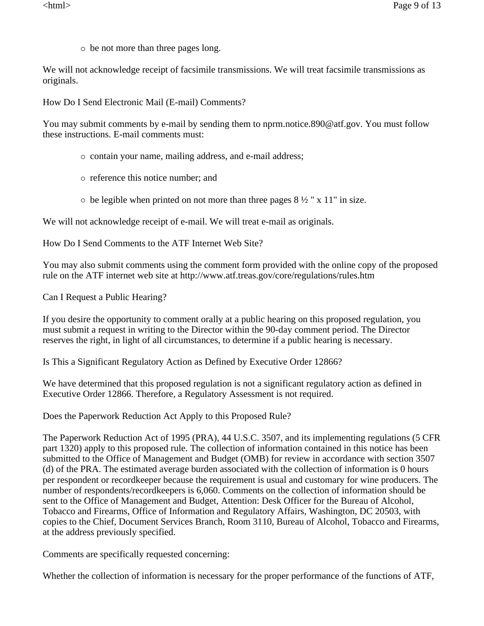$\circ$  be not more than three pages long.

We will not acknowledge receipt of facsimile transmissions. We will treat facsimile transmissions as originals.

How Do I Send Electronic Mail (E-mail) Comments?

You may submit comments by e-mail by sending them to nprm.notice.890@atf.gov. You must follow these instructions. E-mail comments must:

- $\circ$  contain your name, mailing address, and e-mail address;
- $\circ$  reference this notice number; and
- $\circ$  be legible when printed on not more than three pages 8 ½ " x 11" in size.

We will not acknowledge receipt of e-mail. We will treat e-mail as originals.

How Do I Send Comments to the ATF Internet Web Site?

You may also submit comments using the comment form provided with the online copy of the proposed rule on the ATF internet web site at http://www.atf.treas.gov/core/regulations/rules.htm

Can I Request a Public Hearing?

If you desire the opportunity to comment orally at a public hearing on this proposed regulation, you must submit a request in writing to the Director within the 90-day comment period. The Director reserves the right, in light of all circumstances, to determine if a public hearing is necessary.

Is This a Significant Regulatory Action as Defined by Executive Order 12866?

We have determined that this proposed regulation is not a significant regulatory action as defined in Executive Order 12866. Therefore, a Regulatory Assessment is not required.

Does the Paperwork Reduction Act Apply to this Proposed Rule?

The Paperwork Reduction Act of 1995 (PRA), 44 U.S.C. 3507, and its implementing regulations (5 CFR part 1320) apply to this proposed rule. The collection of information contained in this notice has been submitted to the Office of Management and Budget (OMB) for review in accordance with section 3507 (d) of the PRA. The estimated average burden associated with the collection of information is 0 hours per respondent or recordkeeper because the requirement is usual and customary for wine producers. The number of respondents/recordkeepers is 6,060. Comments on the collection of information should be sent to the Office of Management and Budget, Attention: Desk Officer for the Bureau of Alcohol, Tobacco and Firearms, Office of Information and Regulatory Affairs, Washington, DC 20503, with copies to the Chief, Document Services Branch, Room 3110, Bureau of Alcohol, Tobacco and Firearms, at the address previously specified.

Comments are specifically requested concerning:

Whether the collection of information is necessary for the proper performance of the functions of ATF,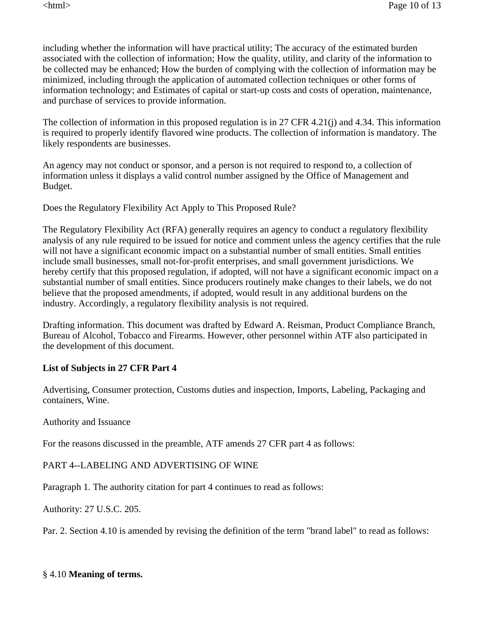including whether the information will have practical utility; The accuracy of the estimated burden associated with the collection of information; How the quality, utility, and clarity of the information to be collected may be enhanced; How the burden of complying with the collection of information may be minimized, including through the application of automated collection techniques or other forms of information technology; and Estimates of capital or start-up costs and costs of operation, maintenance, and purchase of services to provide information.

The collection of information in this proposed regulation is in 27 CFR 4.21(j) and 4.34. This information is required to properly identify flavored wine products. The collection of information is mandatory. The likely respondents are businesses.

An agency may not conduct or sponsor, and a person is not required to respond to, a collection of information unless it displays a valid control number assigned by the Office of Management and Budget.

Does the Regulatory Flexibility Act Apply to This Proposed Rule?

The Regulatory Flexibility Act (RFA) generally requires an agency to conduct a regulatory flexibility analysis of any rule required to be issued for notice and comment unless the agency certifies that the rule will not have a significant economic impact on a substantial number of small entities. Small entities include small businesses, small not-for-profit enterprises, and small government jurisdictions. We hereby certify that this proposed regulation, if adopted, will not have a significant economic impact on a substantial number of small entities. Since producers routinely make changes to their labels, we do not believe that the proposed amendments, if adopted, would result in any additional burdens on the industry. Accordingly, a regulatory flexibility analysis is not required.

Drafting information. This document was drafted by Edward A. Reisman, Product Compliance Branch, Bureau of Alcohol, Tobacco and Firearms. However, other personnel within ATF also participated in the development of this document.

# **List of Subjects in 27 CFR Part 4**

Advertising, Consumer protection, Customs duties and inspection, Imports, Labeling, Packaging and containers, Wine.

Authority and Issuance

For the reasons discussed in the preamble, ATF amends 27 CFR part 4 as follows:

PART 4--LABELING AND ADVERTISING OF WINE

Paragraph 1. The authority citation for part 4 continues to read as follows:

Authority: 27 U.S.C. 205.

Par. 2. Section 4.10 is amended by revising the definition of the term "brand label" to read as follows:

# § 4.10 **Meaning of terms.**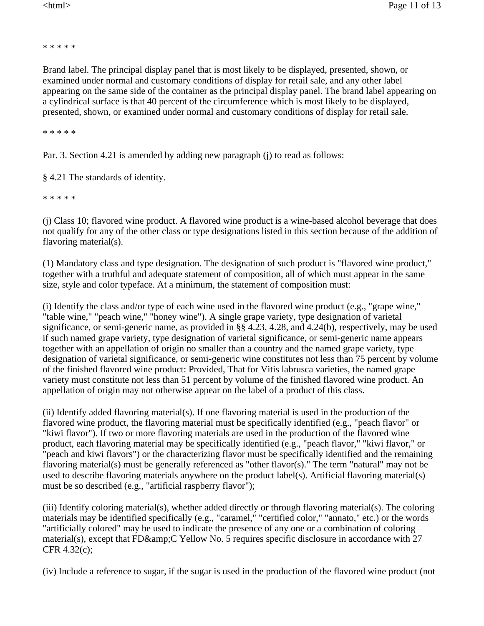\* \* \* \* \*

Brand label. The principal display panel that is most likely to be displayed, presented, shown, or examined under normal and customary conditions of display for retail sale, and any other label appearing on the same side of the container as the principal display panel. The brand label appearing on a cylindrical surface is that 40 percent of the circumference which is most likely to be displayed, presented, shown, or examined under normal and customary conditions of display for retail sale.

\* \* \* \* \*

Par. 3. Section 4.21 is amended by adding new paragraph (j) to read as follows:

§ 4.21 The standards of identity.

\* \* \* \* \*

(j) Class 10; flavored wine product. A flavored wine product is a wine-based alcohol beverage that does not qualify for any of the other class or type designations listed in this section because of the addition of flavoring material(s).

(1) Mandatory class and type designation. The designation of such product is "flavored wine product," together with a truthful and adequate statement of composition, all of which must appear in the same size, style and color typeface. At a minimum, the statement of composition must:

(i) Identify the class and/or type of each wine used in the flavored wine product (e.g., "grape wine," "table wine," "peach wine," "honey wine"). A single grape variety, type designation of varietal significance, or semi-generic name, as provided in §§ 4.23, 4.28, and 4.24(b), respectively, may be used if such named grape variety, type designation of varietal significance, or semi-generic name appears together with an appellation of origin no smaller than a country and the named grape variety, type designation of varietal significance, or semi-generic wine constitutes not less than 75 percent by volume of the finished flavored wine product: Provided, That for Vitis labrusca varieties, the named grape variety must constitute not less than 51 percent by volume of the finished flavored wine product. An appellation of origin may not otherwise appear on the label of a product of this class.

(ii) Identify added flavoring material(s). If one flavoring material is used in the production of the flavored wine product, the flavoring material must be specifically identified (e.g., "peach flavor" or "kiwi flavor"). If two or more flavoring materials are used in the production of the flavored wine product, each flavoring material may be specifically identified (e.g., "peach flavor," "kiwi flavor," or "peach and kiwi flavors") or the characterizing flavor must be specifically identified and the remaining flavoring material(s) must be generally referenced as "other flavor(s)." The term "natural" may not be used to describe flavoring materials anywhere on the product label(s). Artificial flavoring material(s) must be so described (e.g., "artificial raspberry flavor");

(iii) Identify coloring material(s), whether added directly or through flavoring material(s). The coloring materials may be identified specifically (e.g., "caramel," "certified color," "annato," etc.) or the words "artificially colored" may be used to indicate the presence of any one or a combination of coloring material(s), except that FD $\&$ amp; CYellow No. 5 requires specific disclosure in accordance with 27 CFR 4.32(c);

(iv) Include a reference to sugar, if the sugar is used in the production of the flavored wine product (not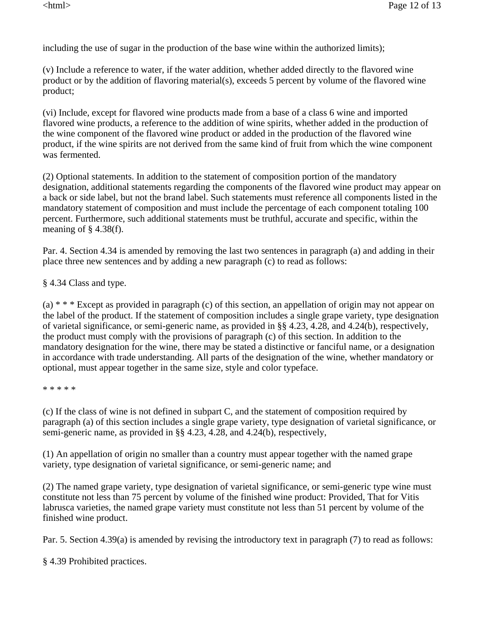including the use of sugar in the production of the base wine within the authorized limits);

(v) Include a reference to water, if the water addition, whether added directly to the flavored wine product or by the addition of flavoring material(s), exceeds 5 percent by volume of the flavored wine product;

(vi) Include, except for flavored wine products made from a base of a class 6 wine and imported flavored wine products, a reference to the addition of wine spirits, whether added in the production of the wine component of the flavored wine product or added in the production of the flavored wine product, if the wine spirits are not derived from the same kind of fruit from which the wine component was fermented.

(2) Optional statements. In addition to the statement of composition portion of the mandatory designation, additional statements regarding the components of the flavored wine product may appear on a back or side label, but not the brand label. Such statements must reference all components listed in the mandatory statement of composition and must include the percentage of each component totaling 100 percent. Furthermore, such additional statements must be truthful, accurate and specific, within the meaning of  $\S$  4.38(f).

Par. 4. Section 4.34 is amended by removing the last two sentences in paragraph (a) and adding in their place three new sentences and by adding a new paragraph (c) to read as follows:

§ 4.34 Class and type.

(a) \* \* \* Except as provided in paragraph (c) of this section, an appellation of origin may not appear on the label of the product. If the statement of composition includes a single grape variety, type designation of varietal significance, or semi-generic name, as provided in §§ 4.23, 4.28, and 4.24(b), respectively, the product must comply with the provisions of paragraph (c) of this section. In addition to the mandatory designation for the wine, there may be stated a distinctive or fanciful name, or a designation in accordance with trade understanding. All parts of the designation of the wine, whether mandatory or optional, must appear together in the same size, style and color typeface.

\* \* \* \* \*

(c) If the class of wine is not defined in subpart C, and the statement of composition required by paragraph (a) of this section includes a single grape variety, type designation of varietal significance, or semi-generic name, as provided in §§ 4.23, 4.28, and 4.24(b), respectively,

(1) An appellation of origin no smaller than a country must appear together with the named grape variety, type designation of varietal significance, or semi-generic name; and

(2) The named grape variety, type designation of varietal significance, or semi-generic type wine must constitute not less than 75 percent by volume of the finished wine product: Provided, That for Vitis labrusca varieties, the named grape variety must constitute not less than 51 percent by volume of the finished wine product.

Par. 5. Section 4.39(a) is amended by revising the introductory text in paragraph (7) to read as follows:

§ 4.39 Prohibited practices.